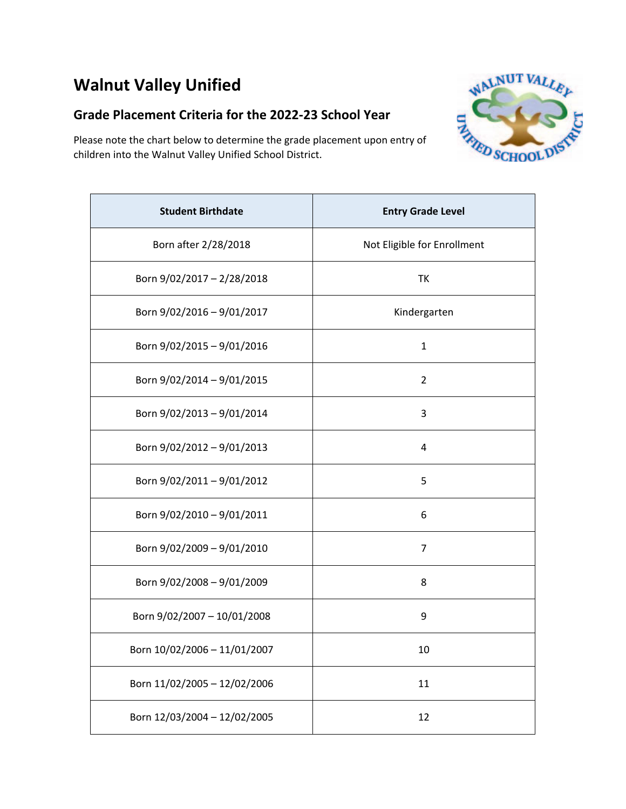# **Walnut Valley Unified**

#### **Grade Placement Criteria for the 2022‐23 School Year**

Please note the chart below to determine the grade placement upon entry of children into the Walnut Valley Unified School District.



| <b>Student Birthdate</b>     | <b>Entry Grade Level</b>    |
|------------------------------|-----------------------------|
| Born after 2/28/2018         | Not Eligible for Enrollment |
| Born 9/02/2017 - 2/28/2018   | TK                          |
| Born 9/02/2016 - 9/01/2017   | Kindergarten                |
| Born 9/02/2015 - 9/01/2016   | 1                           |
| Born 9/02/2014 - 9/01/2015   | $\overline{2}$              |
| Born 9/02/2013 - 9/01/2014   | 3                           |
| Born 9/02/2012 - 9/01/2013   | 4                           |
| Born 9/02/2011 - 9/01/2012   | 5                           |
| Born 9/02/2010 - 9/01/2011   | 6                           |
| Born 9/02/2009 - 9/01/2010   | 7                           |
| Born 9/02/2008 - 9/01/2009   | 8                           |
| Born 9/02/2007 - 10/01/2008  | 9                           |
| Born 10/02/2006 - 11/01/2007 | 10                          |
| Born 11/02/2005 - 12/02/2006 | 11                          |
| Born 12/03/2004 - 12/02/2005 | 12                          |